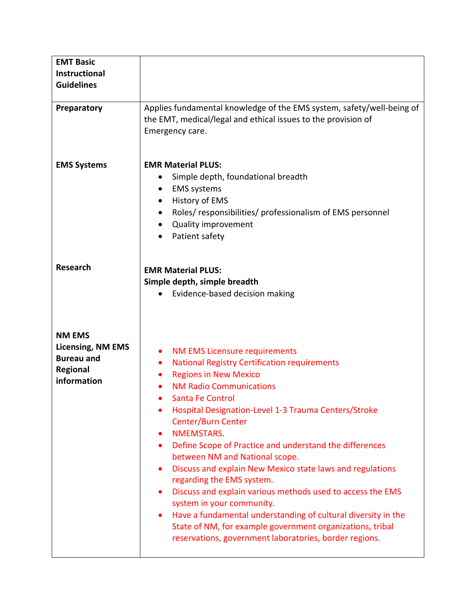| <b>EMT Basic</b><br><b>Instructional</b><br><b>Guidelines</b>                                    |                                                                                                                                                                                                                                                                                                                                                                                                                                                                                                                                                                                                                                                                                                                                                                                                                   |
|--------------------------------------------------------------------------------------------------|-------------------------------------------------------------------------------------------------------------------------------------------------------------------------------------------------------------------------------------------------------------------------------------------------------------------------------------------------------------------------------------------------------------------------------------------------------------------------------------------------------------------------------------------------------------------------------------------------------------------------------------------------------------------------------------------------------------------------------------------------------------------------------------------------------------------|
| Preparatory                                                                                      | Applies fundamental knowledge of the EMS system, safety/well-being of<br>the EMT, medical/legal and ethical issues to the provision of<br>Emergency care.                                                                                                                                                                                                                                                                                                                                                                                                                                                                                                                                                                                                                                                         |
| <b>EMS Systems</b>                                                                               | <b>EMR Material PLUS:</b><br>Simple depth, foundational breadth<br><b>EMS</b> systems<br>History of EMS<br>Roles/responsibilities/professionalism of EMS personnel<br>Quality improvement<br>Patient safety                                                                                                                                                                                                                                                                                                                                                                                                                                                                                                                                                                                                       |
| <b>Research</b>                                                                                  | <b>EMR Material PLUS:</b><br>Simple depth, simple breadth<br>Evidence-based decision making                                                                                                                                                                                                                                                                                                                                                                                                                                                                                                                                                                                                                                                                                                                       |
| <b>NM EMS</b><br><b>Licensing, NM EMS</b><br><b>Bureau and</b><br><b>Regional</b><br>information | <b>NM EMS Licensure requirements</b><br>٠<br><b>National Registry Certification requirements</b><br>$\bullet$<br><b>Regions in New Mexico</b><br><b>NM Radio Communications</b><br><b>Santa Fe Control</b><br>Hospital Designation-Level 1-3 Trauma Centers/Stroke<br><b>Center/Burn Center</b><br>NMEMSTARS.<br>Define Scope of Practice and understand the differences<br>$\bullet$<br>between NM and National scope.<br>Discuss and explain New Mexico state laws and regulations<br>$\bullet$<br>regarding the EMS system.<br>Discuss and explain various methods used to access the EMS<br>system in your community.<br>Have a fundamental understanding of cultural diversity in the<br>State of NM, for example government organizations, tribal<br>reservations, government laboratories, border regions. |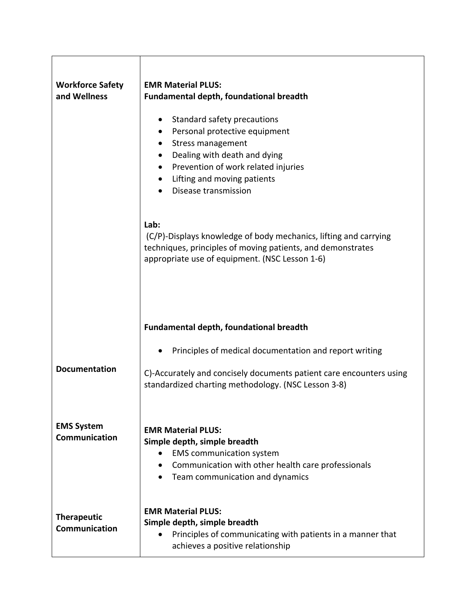| <b>Workforce Safety</b><br>and Wellness | <b>EMR Material PLUS:</b><br>Fundamental depth, foundational breadth<br>Standard safety precautions<br>Personal protective equipment<br>Stress management<br>$\bullet$<br>Dealing with death and dying<br>Prevention of work related injuries<br>Lifting and moving patients<br>Disease transmission |
|-----------------------------------------|------------------------------------------------------------------------------------------------------------------------------------------------------------------------------------------------------------------------------------------------------------------------------------------------------|
|                                         | Lab:<br>(C/P)-Displays knowledge of body mechanics, lifting and carrying<br>techniques, principles of moving patients, and demonstrates<br>appropriate use of equipment. (NSC Lesson 1-6)                                                                                                            |
|                                         | <b>Fundamental depth, foundational breadth</b>                                                                                                                                                                                                                                                       |
| <b>Documentation</b>                    | Principles of medical documentation and report writing<br>C)-Accurately and concisely documents patient care encounters using<br>standardized charting methodology. (NSC Lesson 3-8)                                                                                                                 |
| <b>EMS System</b><br>Communication      | <b>EMR Material PLUS:</b><br>Simple depth, simple breadth<br><b>EMS</b> communication system<br>Communication with other health care professionals<br>Team communication and dynamics                                                                                                                |
| <b>Therapeutic</b><br>Communication     | <b>EMR Material PLUS:</b><br>Simple depth, simple breadth<br>Principles of communicating with patients in a manner that<br>achieves a positive relationship                                                                                                                                          |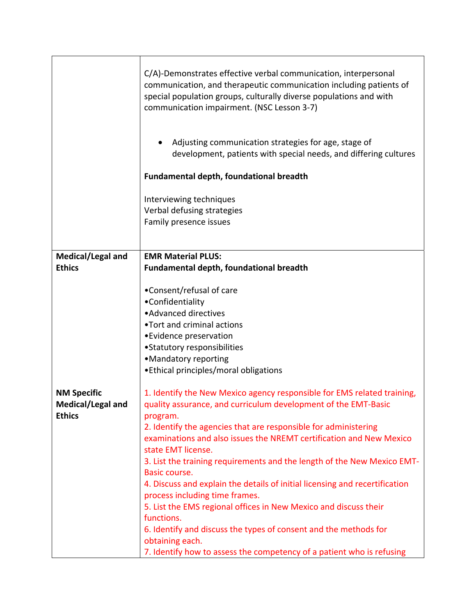|                                                          | C/A)-Demonstrates effective verbal communication, interpersonal<br>communication, and therapeutic communication including patients of<br>special population groups, culturally diverse populations and with<br>communication impairment. (NSC Lesson 3-7)                                                                                                                                                                                                                                                                                                                                                                                                                                                                                                                            |
|----------------------------------------------------------|--------------------------------------------------------------------------------------------------------------------------------------------------------------------------------------------------------------------------------------------------------------------------------------------------------------------------------------------------------------------------------------------------------------------------------------------------------------------------------------------------------------------------------------------------------------------------------------------------------------------------------------------------------------------------------------------------------------------------------------------------------------------------------------|
|                                                          | Adjusting communication strategies for age, stage of<br>development, patients with special needs, and differing cultures                                                                                                                                                                                                                                                                                                                                                                                                                                                                                                                                                                                                                                                             |
|                                                          | <b>Fundamental depth, foundational breadth</b>                                                                                                                                                                                                                                                                                                                                                                                                                                                                                                                                                                                                                                                                                                                                       |
|                                                          | Interviewing techniques<br>Verbal defusing strategies<br>Family presence issues                                                                                                                                                                                                                                                                                                                                                                                                                                                                                                                                                                                                                                                                                                      |
| Medical/Legal and<br><b>Ethics</b>                       | <b>EMR Material PLUS:</b><br><b>Fundamental depth, foundational breadth</b>                                                                                                                                                                                                                                                                                                                                                                                                                                                                                                                                                                                                                                                                                                          |
|                                                          | •Consent/refusal of care<br>•Confidentiality<br>• Advanced directives<br>•Tort and criminal actions<br>• Evidence preservation<br>•Statutory responsibilities<br>•Mandatory reporting<br>• Ethical principles/moral obligations                                                                                                                                                                                                                                                                                                                                                                                                                                                                                                                                                      |
| <b>NM Specific</b><br>Medical/Legal and<br><b>Ethics</b> | 1. Identify the New Mexico agency responsible for EMS related training,<br>quality assurance, and curriculum development of the EMT-Basic<br>program.<br>2. Identify the agencies that are responsible for administering<br>examinations and also issues the NREMT certification and New Mexico<br>state EMT license.<br>3. List the training requirements and the length of the New Mexico EMT-<br>Basic course.<br>4. Discuss and explain the details of initial licensing and recertification<br>process including time frames.<br>5. List the EMS regional offices in New Mexico and discuss their<br>functions.<br>6. Identify and discuss the types of consent and the methods for<br>obtaining each.<br>7. Identify how to assess the competency of a patient who is refusing |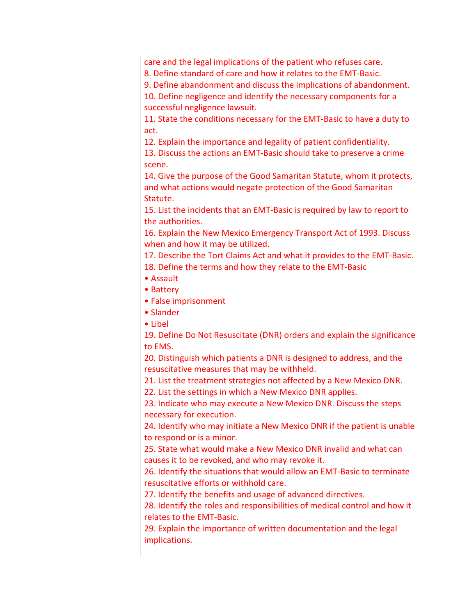| care and the legal implications of the patient who refuses care.          |
|---------------------------------------------------------------------------|
| 8. Define standard of care and how it relates to the EMT-Basic.           |
| 9. Define abandonment and discuss the implications of abandonment.        |
| 10. Define negligence and identify the necessary components for a         |
| successful negligence lawsuit.                                            |
| 11. State the conditions necessary for the EMT-Basic to have a duty to    |
| act.                                                                      |
| 12. Explain the importance and legality of patient confidentiality.       |
| 13. Discuss the actions an EMT-Basic should take to preserve a crime      |
| scene.                                                                    |
| 14. Give the purpose of the Good Samaritan Statute, whom it protects,     |
| and what actions would negate protection of the Good Samaritan            |
| Statute.                                                                  |
| 15. List the incidents that an EMT-Basic is required by law to report to  |
| the authorities.                                                          |
| 16. Explain the New Mexico Emergency Transport Act of 1993. Discuss       |
| when and how it may be utilized.                                          |
| 17. Describe the Tort Claims Act and what it provides to the EMT-Basic.   |
| 18. Define the terms and how they relate to the EMT-Basic                 |
| • Assault                                                                 |
| • Battery                                                                 |
| • False imprisonment                                                      |
| • Slander                                                                 |
| • Libel                                                                   |
| 19. Define Do Not Resuscitate (DNR) orders and explain the significance   |
| to EMS.                                                                   |
| 20. Distinguish which patients a DNR is designed to address, and the      |
| resuscitative measures that may be withheld.                              |
| 21. List the treatment strategies not affected by a New Mexico DNR.       |
| 22. List the settings in which a New Mexico DNR applies.                  |
| 23. Indicate who may execute a New Mexico DNR. Discuss the steps          |
| necessary for execution.                                                  |
| 24. Identify who may initiate a New Mexico DNR if the patient is unable   |
| to respond or is a minor.                                                 |
| 25. State what would make a New Mexico DNR invalid and what can           |
| causes it to be revoked, and who may revoke it.                           |
| 26. Identify the situations that would allow an EMT-Basic to terminate    |
| resuscitative efforts or withhold care.                                   |
| 27. Identify the benefits and usage of advanced directives.               |
| 28. Identify the roles and responsibilities of medical control and how it |
| relates to the EMT-Basic.                                                 |
| 29. Explain the importance of written documentation and the legal         |
| implications.                                                             |
|                                                                           |
|                                                                           |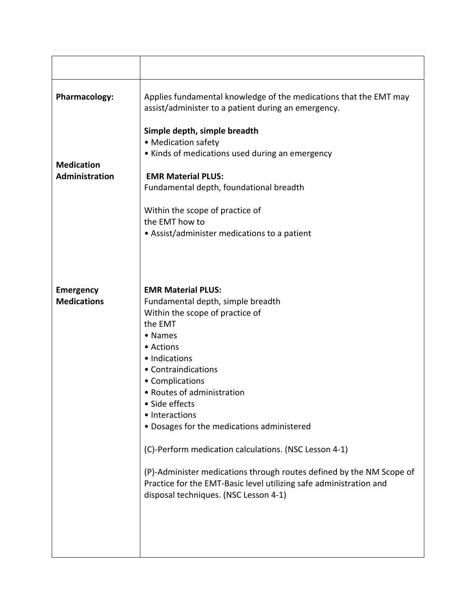| <b>Pharmacology:</b>                   | Applies fundamental knowledge of the medications that the EMT may<br>assist/administer to a patient during an emergency.                                                                                                                                                                                     |
|----------------------------------------|--------------------------------------------------------------------------------------------------------------------------------------------------------------------------------------------------------------------------------------------------------------------------------------------------------------|
| <b>Medication</b><br>Administration    | Simple depth, simple breadth<br>• Medication safety<br>• Kinds of medications used during an emergency<br><b>EMR Material PLUS:</b><br>Fundamental depth, foundational breadth<br>Within the scope of practice of<br>the EMT how to<br>• Assist/administer medications to a patient                          |
| <b>Emergency</b><br><b>Medications</b> | <b>EMR Material PLUS:</b><br>Fundamental depth, simple breadth<br>Within the scope of practice of<br>the EMT<br>• Names<br>• Actions<br>· Indications<br>• Contraindications<br>• Complications<br>• Routes of administration<br>· Side effects                                                              |
|                                        | • Interactions<br>· Dosages for the medications administered<br>(C)-Perform medication calculations. (NSC Lesson 4-1)<br>(P)-Administer medications through routes defined by the NM Scope of<br>Practice for the EMT-Basic level utilizing safe administration and<br>disposal techniques. (NSC Lesson 4-1) |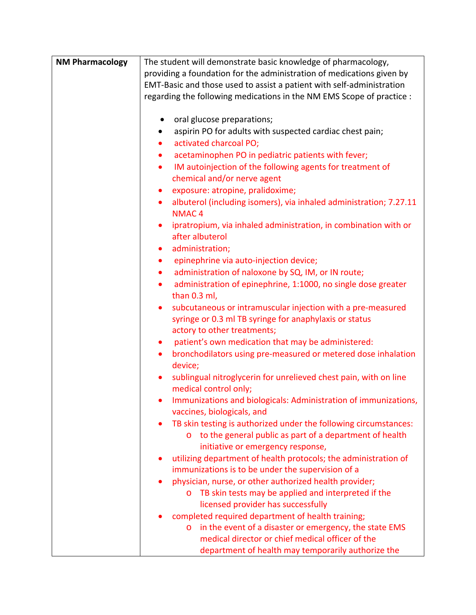| <b>NM Pharmacology</b> | The student will demonstrate basic knowledge of pharmacology,                   |
|------------------------|---------------------------------------------------------------------------------|
|                        | providing a foundation for the administration of medications given by           |
|                        | EMT-Basic and those used to assist a patient with self-administration           |
|                        |                                                                                 |
|                        | regarding the following medications in the NM EMS Scope of practice :           |
|                        |                                                                                 |
|                        | oral glucose preparations;                                                      |
|                        | aspirin PO for adults with suspected cardiac chest pain;                        |
|                        | activated charcoal PO;                                                          |
|                        | acetaminophen PO in pediatric patients with fever;<br>$\bullet$                 |
|                        | IM autoinjection of the following agents for treatment of<br>$\bullet$          |
|                        | chemical and/or nerve agent                                                     |
|                        | exposure: atropine, pralidoxime;<br>٠                                           |
|                        | albuterol (including isomers), via inhaled administration; 7.27.11<br>$\bullet$ |
|                        | <b>NMAC4</b>                                                                    |
|                        | ipratropium, via inhaled administration, in combination with or<br>$\bullet$    |
|                        | after albuterol                                                                 |
|                        | administration;<br>$\bullet$                                                    |
|                        | epinephrine via auto-injection device;<br>$\bullet$                             |
|                        | administration of naloxone by SQ, IM, or IN route;<br>$\bullet$                 |
|                        | administration of epinephrine, 1:1000, no single dose greater<br>٠              |
|                        | than 0.3 ml,                                                                    |
|                        | subcutaneous or intramuscular injection with a pre-measured<br>٠                |
|                        | syringe or 0.3 ml TB syringe for anaphylaxis or status                          |
|                        | actory to other treatments;                                                     |
|                        | patient's own medication that may be administered:<br>$\bullet$                 |
|                        | bronchodilators using pre-measured or metered dose inhalation<br>$\bullet$      |
|                        | device;                                                                         |
|                        | sublingual nitroglycerin for unrelieved chest pain, with on line<br>$\bullet$   |
|                        | medical control only;                                                           |
|                        | Immunizations and biologicals: Administration of immunizations,                 |
|                        | vaccines, biologicals, and                                                      |
|                        | TB skin testing is authorized under the following circumstances:                |
|                        | o to the general public as part of a department of health                       |
|                        | initiative or emergency response,                                               |
|                        | utilizing department of health protocols; the administration of                 |
|                        | immunizations is to be under the supervision of a                               |
|                        | physician, nurse, or other authorized health provider;                          |
|                        | TB skin tests may be applied and interpreted if the<br>$\circ$                  |
|                        | licensed provider has successfully                                              |
|                        | completed required department of health training;                               |
|                        | in the event of a disaster or emergency, the state EMS<br>$\circ$               |
|                        | medical director or chief medical officer of the                                |
|                        |                                                                                 |
|                        | department of health may temporarily authorize the                              |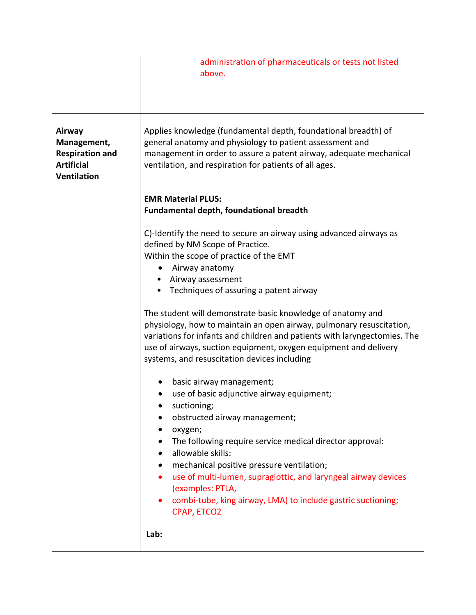|                                                                                            | administration of pharmaceuticals or tests not listed<br>above.                                                                                                                                                                                                                                                                      |
|--------------------------------------------------------------------------------------------|--------------------------------------------------------------------------------------------------------------------------------------------------------------------------------------------------------------------------------------------------------------------------------------------------------------------------------------|
| Airway<br>Management,<br><b>Respiration and</b><br><b>Artificial</b><br><b>Ventilation</b> | Applies knowledge (fundamental depth, foundational breadth) of<br>general anatomy and physiology to patient assessment and<br>management in order to assure a patent airway, adequate mechanical<br>ventilation, and respiration for patients of all ages.                                                                           |
|                                                                                            | <b>EMR Material PLUS:</b>                                                                                                                                                                                                                                                                                                            |
|                                                                                            | Fundamental depth, foundational breadth                                                                                                                                                                                                                                                                                              |
|                                                                                            | C)-Identify the need to secure an airway using advanced airways as<br>defined by NM Scope of Practice.<br>Within the scope of practice of the EMT                                                                                                                                                                                    |
|                                                                                            | Airway anatomy                                                                                                                                                                                                                                                                                                                       |
|                                                                                            | Airway assessment                                                                                                                                                                                                                                                                                                                    |
|                                                                                            | Techniques of assuring a patent airway                                                                                                                                                                                                                                                                                               |
|                                                                                            | The student will demonstrate basic knowledge of anatomy and<br>physiology, how to maintain an open airway, pulmonary resuscitation,<br>variations for infants and children and patients with laryngectomies. The<br>use of airways, suction equipment, oxygen equipment and delivery<br>systems, and resuscitation devices including |
|                                                                                            | basic airway management;                                                                                                                                                                                                                                                                                                             |
|                                                                                            | use of basic adjunctive airway equipment;                                                                                                                                                                                                                                                                                            |
|                                                                                            | suctioning;                                                                                                                                                                                                                                                                                                                          |
|                                                                                            | obstructed airway management;                                                                                                                                                                                                                                                                                                        |
|                                                                                            | oxygen;<br>The following require service medical director approval:                                                                                                                                                                                                                                                                  |
|                                                                                            | allowable skills:                                                                                                                                                                                                                                                                                                                    |
|                                                                                            | mechanical positive pressure ventilation;                                                                                                                                                                                                                                                                                            |
|                                                                                            | use of multi-lumen, supraglottic, and laryngeal airway devices<br>(examples: PTLA,                                                                                                                                                                                                                                                   |
|                                                                                            | combi-tube, king airway, LMA) to include gastric suctioning;<br>CPAP, ETCO2                                                                                                                                                                                                                                                          |
|                                                                                            | Lab:                                                                                                                                                                                                                                                                                                                                 |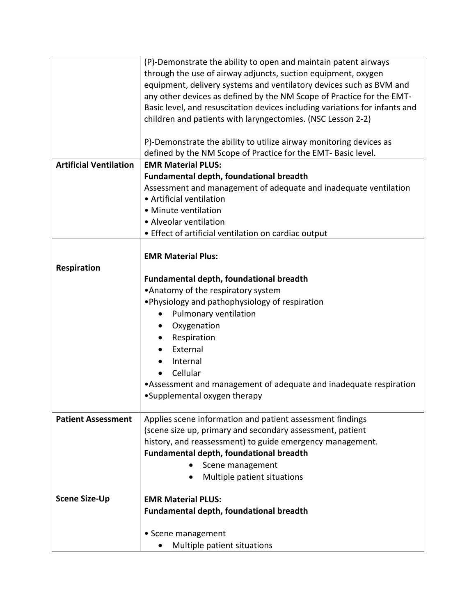|                               | (P)-Demonstrate the ability to open and maintain patent airways                                                        |
|-------------------------------|------------------------------------------------------------------------------------------------------------------------|
|                               | through the use of airway adjuncts, suction equipment, oxygen                                                          |
|                               | equipment, delivery systems and ventilatory devices such as BVM and                                                    |
|                               | any other devices as defined by the NM Scope of Practice for the EMT-                                                  |
|                               | Basic level, and resuscitation devices including variations for infants and                                            |
|                               | children and patients with laryngectomies. (NSC Lesson 2-2)                                                            |
|                               |                                                                                                                        |
|                               | P)-Demonstrate the ability to utilize airway monitoring devices as                                                     |
|                               | defined by the NM Scope of Practice for the EMT- Basic level.                                                          |
| <b>Artificial Ventilation</b> | <b>EMR Material PLUS:</b>                                                                                              |
|                               | <b>Fundamental depth, foundational breadth</b>                                                                         |
|                               | Assessment and management of adequate and inadequate ventilation                                                       |
|                               | • Artificial ventilation                                                                                               |
|                               | · Minute ventilation                                                                                                   |
|                               | • Alveolar ventilation                                                                                                 |
|                               | • Effect of artificial ventilation on cardiac output                                                                   |
|                               |                                                                                                                        |
|                               | <b>EMR Material Plus:</b>                                                                                              |
| Respiration                   |                                                                                                                        |
|                               | <b>Fundamental depth, foundational breadth</b>                                                                         |
|                               | • Anatomy of the respiratory system                                                                                    |
|                               | . Physiology and pathophysiology of respiration                                                                        |
|                               | Pulmonary ventilation                                                                                                  |
|                               | Oxygenation                                                                                                            |
|                               | Respiration                                                                                                            |
|                               | External                                                                                                               |
|                               | Internal                                                                                                               |
|                               |                                                                                                                        |
|                               | Cellular                                                                                                               |
|                               | •Assessment and management of adequate and inadequate respiration                                                      |
|                               | •Supplemental oxygen therapy                                                                                           |
| <b>Patient Assessment</b>     |                                                                                                                        |
|                               | Applies scene information and patient assessment findings<br>(scene size up, primary and secondary assessment, patient |
|                               | history, and reassessment) to guide emergency management.                                                              |
|                               | <b>Fundamental depth, foundational breadth</b>                                                                         |
|                               |                                                                                                                        |
|                               | Scene management                                                                                                       |
|                               | Multiple patient situations                                                                                            |
| <b>Scene Size-Up</b>          | <b>EMR Material PLUS:</b>                                                                                              |
|                               | <b>Fundamental depth, foundational breadth</b>                                                                         |
|                               |                                                                                                                        |
|                               | • Scene management                                                                                                     |
|                               | Multiple patient situations                                                                                            |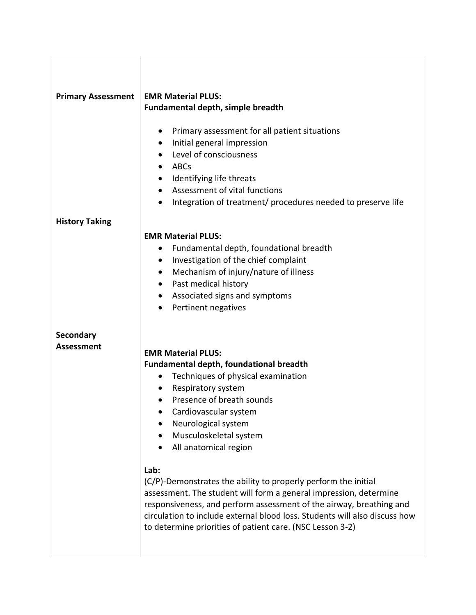| <b>Primary Assessment</b>      | <b>EMR Material PLUS:</b><br>Fundamental depth, simple breadth<br>Primary assessment for all patient situations<br>Initial general impression<br>Level of consciousness<br>ABCs<br>Identifying life threats<br>$\bullet$<br>Assessment of vital functions<br>Integration of treatment/ procedures needed to preserve life                                                                                                                                                                                                                                                                                                                |
|--------------------------------|------------------------------------------------------------------------------------------------------------------------------------------------------------------------------------------------------------------------------------------------------------------------------------------------------------------------------------------------------------------------------------------------------------------------------------------------------------------------------------------------------------------------------------------------------------------------------------------------------------------------------------------|
| <b>History Taking</b>          |                                                                                                                                                                                                                                                                                                                                                                                                                                                                                                                                                                                                                                          |
|                                | <b>EMR Material PLUS:</b><br>Fundamental depth, foundational breadth<br>Investigation of the chief complaint<br>Mechanism of injury/nature of illness<br>$\bullet$<br>Past medical history<br>$\bullet$<br>Associated signs and symptoms<br>٠<br>Pertinent negatives                                                                                                                                                                                                                                                                                                                                                                     |
| Secondary<br><b>Assessment</b> | <b>EMR Material PLUS:</b><br><b>Fundamental depth, foundational breadth</b><br>Techniques of physical examination<br>Respiratory system<br>Presence of breath sounds<br>Cardiovascular system<br>Neurological system<br>Musculoskeletal system<br>All anatomical region<br>Lab:<br>(C/P)-Demonstrates the ability to properly perform the initial<br>assessment. The student will form a general impression, determine<br>responsiveness, and perform assessment of the airway, breathing and<br>circulation to include external blood loss. Students will also discuss how<br>to determine priorities of patient care. (NSC Lesson 3-2) |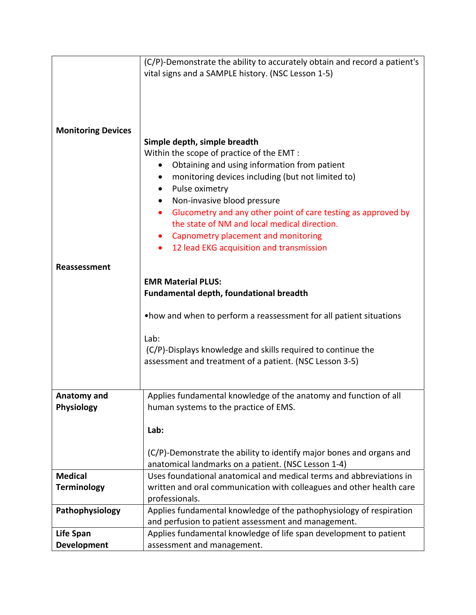|                           | (C/P)-Demonstrate the ability to accurately obtain and record a patient's |
|---------------------------|---------------------------------------------------------------------------|
|                           | vital signs and a SAMPLE history. (NSC Lesson 1-5)                        |
|                           |                                                                           |
|                           |                                                                           |
|                           |                                                                           |
|                           |                                                                           |
| <b>Monitoring Devices</b> |                                                                           |
|                           | Simple depth, simple breadth                                              |
|                           | Within the scope of practice of the EMT :                                 |
|                           | Obtaining and using information from patient                              |
|                           | monitoring devices including (but not limited to)                         |
|                           | Pulse oximetry                                                            |
|                           | Non-invasive blood pressure                                               |
|                           | Glucometry and any other point of care testing as approved by<br>٠        |
|                           | the state of NM and local medical direction.                              |
|                           |                                                                           |
|                           | Capnometry placement and monitoring                                       |
|                           | 12 lead EKG acquisition and transmission                                  |
| Reassessment              |                                                                           |
|                           |                                                                           |
|                           | <b>EMR Material PLUS:</b>                                                 |
|                           | Fundamental depth, foundational breadth                                   |
|                           |                                                                           |
|                           | . how and when to perform a reassessment for all patient situations       |
|                           |                                                                           |
|                           | Lab:                                                                      |
|                           | (C/P)-Displays knowledge and skills required to continue the              |
|                           | assessment and treatment of a patient. (NSC Lesson 3-5)                   |
|                           |                                                                           |
|                           |                                                                           |
| Anatomy and               | Applies fundamental knowledge of the anatomy and function of all          |
| Physiology                | human systems to the practice of EMS.                                     |
|                           |                                                                           |
|                           | Lab:                                                                      |
|                           |                                                                           |
|                           | (C/P)-Demonstrate the ability to identify major bones and organs and      |
|                           | anatomical landmarks on a patient. (NSC Lesson 1-4)                       |
| <b>Medical</b>            | Uses foundational anatomical and medical terms and abbreviations in       |
| <b>Terminology</b>        | written and oral communication with colleagues and other health care      |
|                           | professionals.                                                            |
| Pathophysiology           | Applies fundamental knowledge of the pathophysiology of respiration       |
|                           | and perfusion to patient assessment and management.                       |
| <b>Life Span</b>          | Applies fundamental knowledge of life span development to patient         |
| <b>Development</b>        | assessment and management.                                                |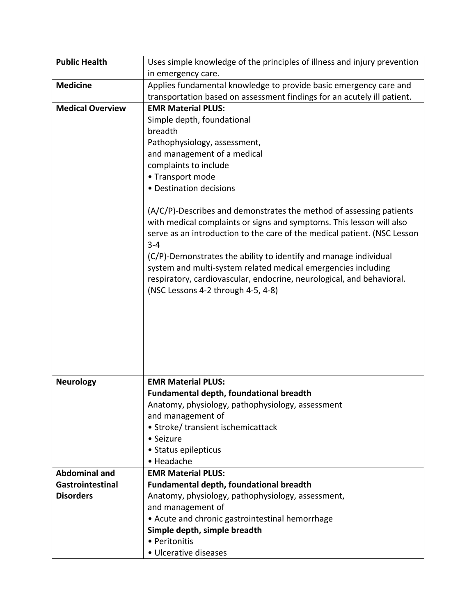| <b>Public Health</b>    | Uses simple knowledge of the principles of illness and injury prevention |
|-------------------------|--------------------------------------------------------------------------|
|                         | in emergency care.                                                       |
| <b>Medicine</b>         | Applies fundamental knowledge to provide basic emergency care and        |
|                         | transportation based on assessment findings for an acutely ill patient.  |
| <b>Medical Overview</b> | <b>EMR Material PLUS:</b>                                                |
|                         | Simple depth, foundational                                               |
|                         | breadth                                                                  |
|                         | Pathophysiology, assessment,                                             |
|                         | and management of a medical                                              |
|                         | complaints to include                                                    |
|                         | • Transport mode                                                         |
|                         | • Destination decisions                                                  |
|                         | $(A/C/P)$ -Describes and demonstrates the method of assessing patients   |
|                         | with medical complaints or signs and symptoms. This lesson will also     |
|                         | serve as an introduction to the care of the medical patient. (NSC Lesson |
|                         | $3 - 4$                                                                  |
|                         | (C/P)-Demonstrates the ability to identify and manage individual         |
|                         | system and multi-system related medical emergencies including            |
|                         | respiratory, cardiovascular, endocrine, neurological, and behavioral.    |
|                         | (NSC Lessons 4-2 through 4-5, 4-8)                                       |
|                         |                                                                          |
|                         |                                                                          |
|                         |                                                                          |
|                         |                                                                          |
|                         |                                                                          |
|                         |                                                                          |
|                         |                                                                          |
| <b>Neurology</b>        | <b>EMR Material PLUS:</b>                                                |
|                         | Fundamental depth, foundational breadth                                  |
|                         | Anatomy, physiology, pathophysiology, assessment                         |
|                         | and management of                                                        |
|                         | • Stroke/ transient ischemicattack<br>• Seizure                          |
|                         | • Status epilepticus                                                     |
|                         | • Headache                                                               |
| <b>Abdominal and</b>    | <b>EMR Material PLUS:</b>                                                |
| Gastrointestinal        | <b>Fundamental depth, foundational breadth</b>                           |
| <b>Disorders</b>        | Anatomy, physiology, pathophysiology, assessment,                        |
|                         | and management of                                                        |
|                         | • Acute and chronic gastrointestinal hemorrhage                          |
|                         | Simple depth, simple breadth                                             |
|                         | • Peritonitis                                                            |
|                         | · Ulcerative diseases                                                    |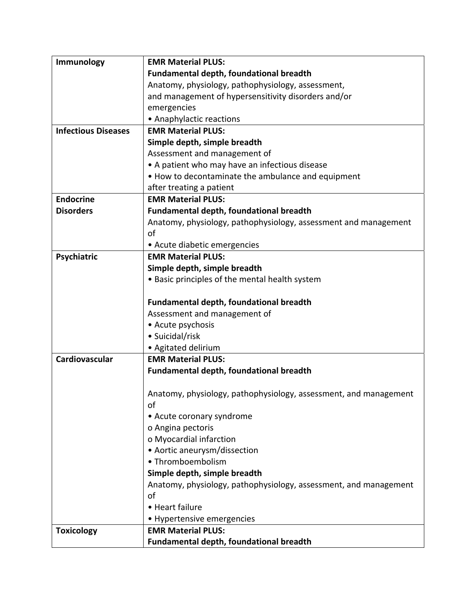| Immunology                 | <b>EMR Material PLUS:</b>                                        |
|----------------------------|------------------------------------------------------------------|
|                            | <b>Fundamental depth, foundational breadth</b>                   |
|                            | Anatomy, physiology, pathophysiology, assessment,                |
|                            | and management of hypersensitivity disorders and/or              |
|                            | emergencies                                                      |
|                            | • Anaphylactic reactions                                         |
| <b>Infectious Diseases</b> | <b>EMR Material PLUS:</b>                                        |
|                            | Simple depth, simple breadth                                     |
|                            | Assessment and management of                                     |
|                            | • A patient who may have an infectious disease                   |
|                            | • How to decontaminate the ambulance and equipment               |
|                            | after treating a patient                                         |
| <b>Endocrine</b>           | <b>EMR Material PLUS:</b>                                        |
| <b>Disorders</b>           | Fundamental depth, foundational breadth                          |
|                            | Anatomy, physiology, pathophysiology, assessment and management  |
|                            | of                                                               |
|                            | • Acute diabetic emergencies                                     |
| Psychiatric                | <b>EMR Material PLUS:</b>                                        |
|                            | Simple depth, simple breadth                                     |
|                            | • Basic principles of the mental health system                   |
|                            |                                                                  |
|                            | <b>Fundamental depth, foundational breadth</b>                   |
|                            | Assessment and management of                                     |
|                            | • Acute psychosis                                                |
|                            | • Suicidal/risk                                                  |
|                            | • Agitated delirium                                              |
| Cardiovascular             | <b>EMR Material PLUS:</b>                                        |
|                            | <b>Fundamental depth, foundational breadth</b>                   |
|                            |                                                                  |
|                            | Anatomy, physiology, pathophysiology, assessment, and management |
|                            | of                                                               |
|                            | • Acute coronary syndrome                                        |
|                            | o Angina pectoris                                                |
|                            | o Myocardial infarction                                          |
|                            | • Aortic aneurysm/dissection                                     |
|                            | • Thromboembolism                                                |
|                            | Simple depth, simple breadth                                     |
|                            | Anatomy, physiology, pathophysiology, assessment, and management |
|                            | of<br>• Heart failure                                            |
|                            |                                                                  |
|                            | • Hypertensive emergencies<br><b>EMR Material PLUS:</b>          |
| <b>Toxicology</b>          |                                                                  |
|                            | <b>Fundamental depth, foundational breadth</b>                   |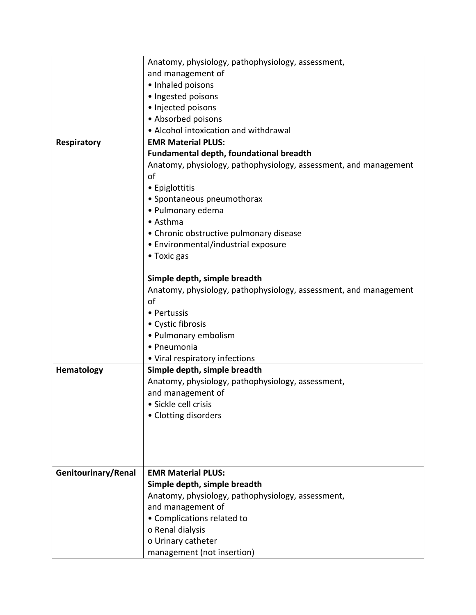|                     | Anatomy, physiology, pathophysiology, assessment,                |
|---------------------|------------------------------------------------------------------|
|                     | and management of                                                |
|                     | • Inhaled poisons                                                |
|                     | · Ingested poisons                                               |
|                     | · Injected poisons                                               |
|                     | • Absorbed poisons                                               |
|                     | • Alcohol intoxication and withdrawal                            |
| Respiratory         | <b>EMR Material PLUS:</b>                                        |
|                     | <b>Fundamental depth, foundational breadth</b>                   |
|                     | Anatomy, physiology, pathophysiology, assessment, and management |
|                     | of                                                               |
|                     | • Epiglottitis                                                   |
|                     | • Spontaneous pneumothorax                                       |
|                     | · Pulmonary edema                                                |
|                     | • Asthma                                                         |
|                     | • Chronic obstructive pulmonary disease                          |
|                     | • Environmental/industrial exposure                              |
|                     | • Toxic gas                                                      |
|                     |                                                                  |
|                     | Simple depth, simple breadth                                     |
|                     | Anatomy, physiology, pathophysiology, assessment, and management |
|                     | of                                                               |
|                     | • Pertussis                                                      |
|                     | • Cystic fibrosis                                                |
|                     | • Pulmonary embolism                                             |
|                     | • Pneumonia                                                      |
|                     | • Viral respiratory infections                                   |
| <b>Hematology</b>   | Simple depth, simple breadth                                     |
|                     | Anatomy, physiology, pathophysiology, assessment,                |
|                     | and management of                                                |
|                     | Sickle cell crisis                                               |
|                     | • Clotting disorders                                             |
|                     |                                                                  |
|                     |                                                                  |
|                     |                                                                  |
|                     |                                                                  |
| Genitourinary/Renal | <b>EMR Material PLUS:</b>                                        |
|                     | Simple depth, simple breadth                                     |
|                     | Anatomy, physiology, pathophysiology, assessment,                |
|                     | and management of                                                |
|                     | • Complications related to                                       |
|                     | o Renal dialysis                                                 |
|                     | o Urinary catheter                                               |
|                     | management (not insertion)                                       |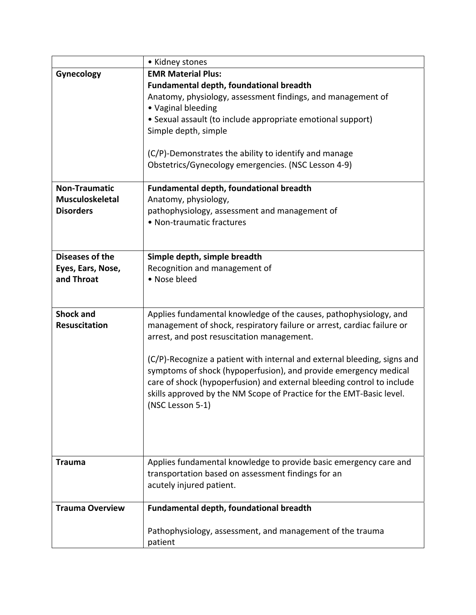|                        | • Kidney stones                                                          |
|------------------------|--------------------------------------------------------------------------|
| Gynecology             | <b>EMR Material Plus:</b>                                                |
|                        | <b>Fundamental depth, foundational breadth</b>                           |
|                        | Anatomy, physiology, assessment findings, and management of              |
|                        | • Vaginal bleeding                                                       |
|                        | • Sexual assault (to include appropriate emotional support)              |
|                        | Simple depth, simple                                                     |
|                        |                                                                          |
|                        | (C/P)-Demonstrates the ability to identify and manage                    |
|                        | Obstetrics/Gynecology emergencies. (NSC Lesson 4-9)                      |
|                        |                                                                          |
| <b>Non-Traumatic</b>   | <b>Fundamental depth, foundational breadth</b>                           |
| <b>Musculoskeletal</b> | Anatomy, physiology,                                                     |
| <b>Disorders</b>       | pathophysiology, assessment and management of                            |
|                        | • Non-traumatic fractures                                                |
|                        |                                                                          |
|                        |                                                                          |
| Diseases of the        | Simple depth, simple breadth                                             |
| Eyes, Ears, Nose,      | Recognition and management of                                            |
| and Throat             | • Nose bleed                                                             |
|                        |                                                                          |
|                        |                                                                          |
| <b>Shock and</b>       | Applies fundamental knowledge of the causes, pathophysiology, and        |
| <b>Resuscitation</b>   | management of shock, respiratory failure or arrest, cardiac failure or   |
|                        | arrest, and post resuscitation management.                               |
|                        |                                                                          |
|                        | (C/P)-Recognize a patient with internal and external bleeding, signs and |
|                        | symptoms of shock (hypoperfusion), and provide emergency medical         |
|                        | care of shock (hypoperfusion) and external bleeding control to include   |
|                        | skills approved by the NM Scope of Practice for the EMT-Basic level.     |
|                        | (NSC Lesson 5-1)                                                         |
|                        |                                                                          |
|                        |                                                                          |
|                        |                                                                          |
| <b>Trauma</b>          | Applies fundamental knowledge to provide basic emergency care and        |
|                        | transportation based on assessment findings for an                       |
|                        | acutely injured patient.                                                 |
|                        |                                                                          |
| <b>Trauma Overview</b> | <b>Fundamental depth, foundational breadth</b>                           |
|                        |                                                                          |
|                        | Pathophysiology, assessment, and management of the trauma                |
|                        | patient                                                                  |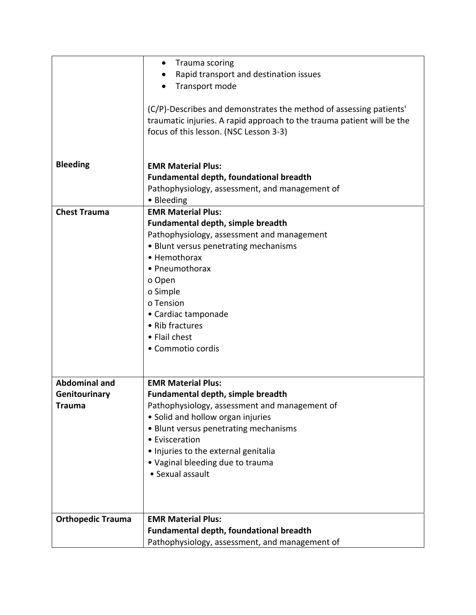|                          | Trauma scoring<br>$\bullet$                                            |
|--------------------------|------------------------------------------------------------------------|
|                          | Rapid transport and destination issues                                 |
|                          | Transport mode                                                         |
|                          |                                                                        |
|                          | (C/P)-Describes and demonstrates the method of assessing patients'     |
|                          | traumatic injuries. A rapid approach to the trauma patient will be the |
|                          |                                                                        |
|                          | focus of this lesson. (NSC Lesson 3-3)                                 |
|                          |                                                                        |
|                          |                                                                        |
| <b>Bleeding</b>          | <b>EMR Material Plus:</b>                                              |
|                          | <b>Fundamental depth, foundational breadth</b>                         |
|                          | Pathophysiology, assessment, and management of                         |
|                          | • Bleeding                                                             |
| <b>Chest Trauma</b>      | <b>EMR Material Plus:</b>                                              |
|                          | Fundamental depth, simple breadth                                      |
|                          | Pathophysiology, assessment and management                             |
|                          | • Blunt versus penetrating mechanisms                                  |
|                          | • Hemothorax                                                           |
|                          | • Pneumothorax                                                         |
|                          | o Open                                                                 |
|                          | o Simple                                                               |
|                          | o Tension                                                              |
|                          | • Cardiac tamponade                                                    |
|                          | • Rib fractures                                                        |
|                          | • Flail chest                                                          |
|                          | • Commotio cordis                                                      |
|                          |                                                                        |
|                          |                                                                        |
| <b>Abdominal and</b>     | <b>EMR Material Plus:</b>                                              |
| Genitourinary            | <b>Fundamental depth, simple breadth</b>                               |
| Trauma                   | Pathophysiology, assessment and management of                          |
|                          |                                                                        |
|                          | • Solid and hollow organ injuries                                      |
|                          | • Blunt versus penetrating mechanisms                                  |
|                          | • Evisceration                                                         |
|                          | . Injuries to the external genitalia                                   |
|                          | • Vaginal bleeding due to trauma                                       |
|                          | • Sexual assault                                                       |
|                          |                                                                        |
|                          |                                                                        |
|                          |                                                                        |
| <b>Orthopedic Trauma</b> | <b>EMR Material Plus:</b>                                              |
|                          | Fundamental depth, foundational breadth                                |
|                          | Pathophysiology, assessment, and management of                         |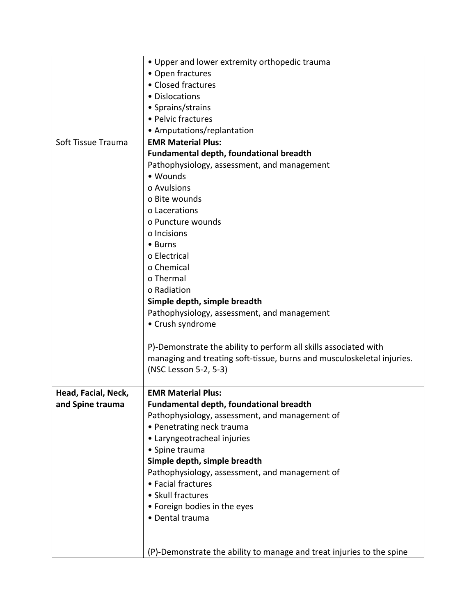|                     | • Upper and lower extremity orthopedic trauma                          |
|---------------------|------------------------------------------------------------------------|
|                     | • Open fractures                                                       |
|                     | • Closed fractures                                                     |
|                     | • Dislocations                                                         |
|                     | • Sprains/strains                                                      |
|                     | • Pelvic fractures                                                     |
|                     | • Amputations/replantation                                             |
| Soft Tissue Trauma  | <b>EMR Material Plus:</b>                                              |
|                     | <b>Fundamental depth, foundational breadth</b>                         |
|                     | Pathophysiology, assessment, and management                            |
|                     | • Wounds                                                               |
|                     | o Avulsions                                                            |
|                     | o Bite wounds                                                          |
|                     | o Lacerations                                                          |
|                     | o Puncture wounds                                                      |
|                     | o Incisions                                                            |
|                     | • Burns                                                                |
|                     | o Electrical                                                           |
|                     | o Chemical                                                             |
|                     | o Thermal                                                              |
|                     | o Radiation                                                            |
|                     | Simple depth, simple breadth                                           |
|                     | Pathophysiology, assessment, and management                            |
|                     | • Crush syndrome                                                       |
|                     |                                                                        |
|                     | P)-Demonstrate the ability to perform all skills associated with       |
|                     | managing and treating soft-tissue, burns and musculoskeletal injuries. |
|                     | (NSC Lesson 5-2, 5-3)                                                  |
|                     |                                                                        |
| Head, Facial, Neck, | <b>EMR Material Plus:</b>                                              |
| and Spine trauma    | <b>Fundamental depth, foundational breadth</b>                         |
|                     | Pathophysiology, assessment, and management of                         |
|                     | • Penetrating neck trauma                                              |
|                     | • Laryngeotracheal injuries                                            |
|                     | • Spine trauma                                                         |
|                     | Simple depth, simple breadth                                           |
|                     | Pathophysiology, assessment, and management of                         |
|                     | • Facial fractures                                                     |
|                     | • Skull fractures                                                      |
|                     | • Foreign bodies in the eyes                                           |
|                     | · Dental trauma                                                        |
|                     |                                                                        |
|                     |                                                                        |
|                     | (P)-Demonstrate the ability to manage and treat injuries to the spine  |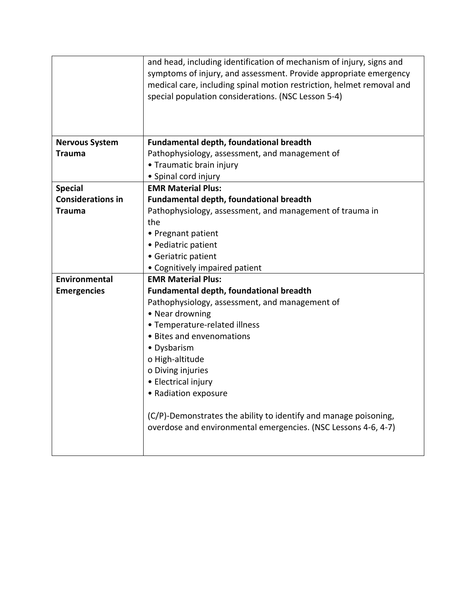|                          | and head, including identification of mechanism of injury, signs and<br>symptoms of injury, and assessment. Provide appropriate emergency<br>medical care, including spinal motion restriction, helmet removal and<br>special population considerations. (NSC Lesson 5-4) |
|--------------------------|---------------------------------------------------------------------------------------------------------------------------------------------------------------------------------------------------------------------------------------------------------------------------|
|                          |                                                                                                                                                                                                                                                                           |
| <b>Nervous System</b>    | <b>Fundamental depth, foundational breadth</b>                                                                                                                                                                                                                            |
| <b>Trauma</b>            | Pathophysiology, assessment, and management of                                                                                                                                                                                                                            |
|                          | • Traumatic brain injury                                                                                                                                                                                                                                                  |
|                          | • Spinal cord injury                                                                                                                                                                                                                                                      |
| <b>Special</b>           | <b>EMR Material Plus:</b>                                                                                                                                                                                                                                                 |
| <b>Considerations in</b> | <b>Fundamental depth, foundational breadth</b>                                                                                                                                                                                                                            |
| Trauma                   | Pathophysiology, assessment, and management of trauma in                                                                                                                                                                                                                  |
|                          | the                                                                                                                                                                                                                                                                       |
|                          | • Pregnant patient                                                                                                                                                                                                                                                        |
|                          | · Pediatric patient                                                                                                                                                                                                                                                       |
|                          | • Geriatric patient                                                                                                                                                                                                                                                       |
|                          | • Cognitively impaired patient                                                                                                                                                                                                                                            |
| <b>Environmental</b>     | <b>EMR Material Plus:</b>                                                                                                                                                                                                                                                 |
| <b>Emergencies</b>       | <b>Fundamental depth, foundational breadth</b>                                                                                                                                                                                                                            |
|                          | Pathophysiology, assessment, and management of                                                                                                                                                                                                                            |
|                          | • Near drowning                                                                                                                                                                                                                                                           |
|                          | • Temperature-related illness                                                                                                                                                                                                                                             |
|                          | • Bites and envenomations                                                                                                                                                                                                                                                 |
|                          | • Dysbarism                                                                                                                                                                                                                                                               |
|                          | o High-altitude                                                                                                                                                                                                                                                           |
|                          | o Diving injuries                                                                                                                                                                                                                                                         |
|                          | • Electrical injury                                                                                                                                                                                                                                                       |
|                          | • Radiation exposure                                                                                                                                                                                                                                                      |
|                          | (C/P)-Demonstrates the ability to identify and manage poisoning,<br>overdose and environmental emergencies. (NSC Lessons 4-6, 4-7)                                                                                                                                        |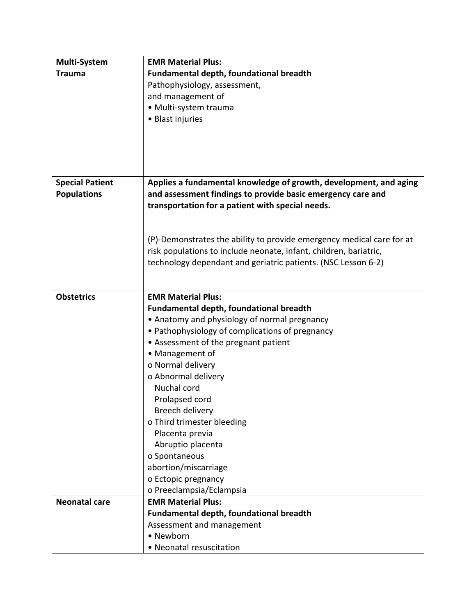| <b>Multi-System</b>    | <b>EMR Material Plus:</b>                                             |
|------------------------|-----------------------------------------------------------------------|
| <b>Trauma</b>          | Fundamental depth, foundational breadth                               |
|                        | Pathophysiology, assessment,                                          |
|                        | and management of                                                     |
|                        | · Multi-system trauma                                                 |
|                        | • Blast injuries                                                      |
|                        |                                                                       |
|                        |                                                                       |
|                        |                                                                       |
|                        |                                                                       |
|                        |                                                                       |
| <b>Special Patient</b> | Applies a fundamental knowledge of growth, development, and aging     |
| <b>Populations</b>     | and assessment findings to provide basic emergency care and           |
|                        | transportation for a patient with special needs.                      |
|                        |                                                                       |
|                        | (P)-Demonstrates the ability to provide emergency medical care for at |
|                        | risk populations to include neonate, infant, children, bariatric,     |
|                        | technology dependant and geriatric patients. (NSC Lesson 6-2)         |
|                        |                                                                       |
|                        |                                                                       |
| <b>Obstetrics</b>      | <b>EMR Material Plus:</b>                                             |
|                        | <b>Fundamental depth, foundational breadth</b>                        |
|                        | • Anatomy and physiology of normal pregnancy                          |
|                        | • Pathophysiology of complications of pregnancy                       |
|                        | • Assessment of the pregnant patient                                  |
|                        | • Management of                                                       |
|                        | o Normal delivery                                                     |
|                        | o Abnormal delivery                                                   |
|                        | Nuchal cord                                                           |
|                        | Prolapsed cord                                                        |
|                        | Breech delivery                                                       |
|                        | o Third trimester bleeding                                            |
|                        | Placenta previa                                                       |
|                        | Abruptio placenta                                                     |
|                        | o Spontaneous                                                         |
|                        | abortion/miscarriage                                                  |
|                        | o Ectopic pregnancy                                                   |
|                        | o Preeclampsia/Eclampsia                                              |
| <b>Neonatal care</b>   | <b>EMR Material Plus:</b>                                             |
|                        | <b>Fundamental depth, foundational breadth</b>                        |
|                        | Assessment and management                                             |
|                        | • Newborn                                                             |
|                        | • Neonatal resuscitation                                              |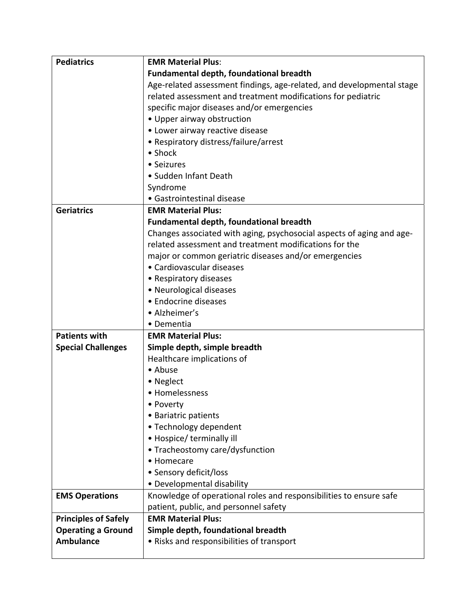| <b>Pediatrics</b>           | <b>EMR Material Plus:</b>                                             |
|-----------------------------|-----------------------------------------------------------------------|
|                             | Fundamental depth, foundational breadth                               |
|                             | Age-related assessment findings, age-related, and developmental stage |
|                             | related assessment and treatment modifications for pediatric          |
|                             | specific major diseases and/or emergencies                            |
|                             | • Upper airway obstruction                                            |
|                             | • Lower airway reactive disease                                       |
|                             | • Respiratory distress/failure/arrest                                 |
|                             | • Shock                                                               |
|                             | • Seizures                                                            |
|                             | • Sudden Infant Death                                                 |
|                             | Syndrome                                                              |
|                             | • Gastrointestinal disease                                            |
| <b>Geriatrics</b>           | <b>EMR Material Plus:</b>                                             |
|                             | <b>Fundamental depth, foundational breadth</b>                        |
|                             | Changes associated with aging, psychosocial aspects of aging and age- |
|                             | related assessment and treatment modifications for the                |
|                             | major or common geriatric diseases and/or emergencies                 |
|                             | • Cardiovascular diseases                                             |
|                             | • Respiratory diseases                                                |
|                             | • Neurological diseases                                               |
|                             | • Endocrine diseases                                                  |
|                             | • Alzheimer's                                                         |
|                             | • Dementia                                                            |
| <b>Patients with</b>        | <b>EMR Material Plus:</b>                                             |
| <b>Special Challenges</b>   | Simple depth, simple breadth                                          |
|                             | Healthcare implications of                                            |
|                             | • Abuse                                                               |
|                             | • Neglect                                                             |
|                             | • Homelessness                                                        |
|                             | • Poverty                                                             |
|                             | • Bariatric patients                                                  |
|                             | • Technology dependent                                                |
|                             | • Hospice/ terminally ill                                             |
|                             | • Tracheostomy care/dysfunction                                       |
|                             | • Homecare                                                            |
|                             | • Sensory deficit/loss                                                |
|                             | • Developmental disability                                            |
| <b>EMS Operations</b>       | Knowledge of operational roles and responsibilities to ensure safe    |
|                             | patient, public, and personnel safety                                 |
| <b>Principles of Safely</b> | <b>EMR Material Plus:</b>                                             |
| <b>Operating a Ground</b>   | Simple depth, foundational breadth                                    |
| <b>Ambulance</b>            | • Risks and responsibilities of transport                             |
|                             |                                                                       |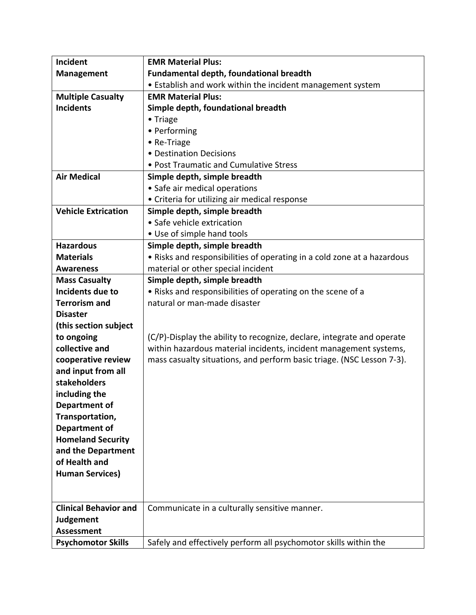| <b>Incident</b>              | <b>EMR Material Plus:</b>                                               |
|------------------------------|-------------------------------------------------------------------------|
| <b>Management</b>            | <b>Fundamental depth, foundational breadth</b>                          |
|                              | • Establish and work within the incident management system              |
| <b>Multiple Casualty</b>     | <b>EMR Material Plus:</b>                                               |
| <b>Incidents</b>             | Simple depth, foundational breadth                                      |
|                              | • Triage                                                                |
|                              | • Performing                                                            |
|                              | • Re-Triage                                                             |
|                              | • Destination Decisions                                                 |
|                              | • Post Traumatic and Cumulative Stress                                  |
| <b>Air Medical</b>           | Simple depth, simple breadth                                            |
|                              | • Safe air medical operations                                           |
|                              | • Criteria for utilizing air medical response                           |
| <b>Vehicle Extrication</b>   | Simple depth, simple breadth                                            |
|                              | • Safe vehicle extrication                                              |
|                              | • Use of simple hand tools                                              |
| <b>Hazardous</b>             | Simple depth, simple breadth                                            |
| <b>Materials</b>             | . Risks and responsibilities of operating in a cold zone at a hazardous |
| <b>Awareness</b>             | material or other special incident                                      |
| <b>Mass Casualty</b>         | Simple depth, simple breadth                                            |
| Incidents due to             | . Risks and responsibilities of operating on the scene of a             |
| <b>Terrorism and</b>         | natural or man-made disaster                                            |
| <b>Disaster</b>              |                                                                         |
| (this section subject        |                                                                         |
| to ongoing                   | (C/P)-Display the ability to recognize, declare, integrate and operate  |
| collective and               | within hazardous material incidents, incident management systems,       |
| cooperative review           | mass casualty situations, and perform basic triage. (NSC Lesson 7-3).   |
| and input from all           |                                                                         |
| stakeholders                 |                                                                         |
| including the                |                                                                         |
| Department of                |                                                                         |
| Transportation,              |                                                                         |
| <b>Department of</b>         |                                                                         |
| <b>Homeland Security</b>     |                                                                         |
| and the Department           |                                                                         |
| of Health and                |                                                                         |
| <b>Human Services)</b>       |                                                                         |
|                              |                                                                         |
|                              |                                                                         |
| <b>Clinical Behavior and</b> | Communicate in a culturally sensitive manner.                           |
| <b>Judgement</b>             |                                                                         |
| <b>Assessment</b>            |                                                                         |
| <b>Psychomotor Skills</b>    | Safely and effectively perform all psychomotor skills within the        |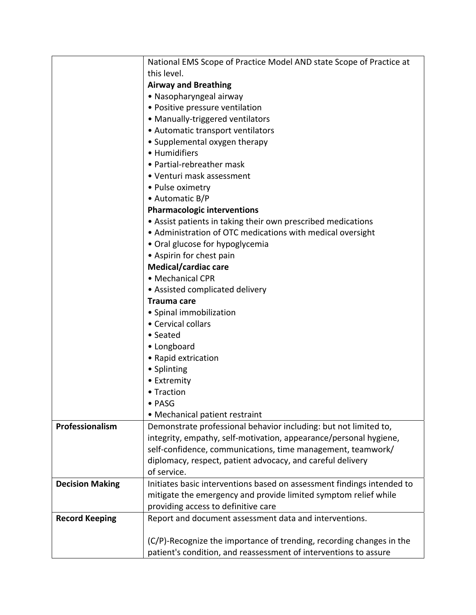|                        | National EMS Scope of Practice Model AND state Scope of Practice at    |
|------------------------|------------------------------------------------------------------------|
|                        | this level.                                                            |
|                        | <b>Airway and Breathing</b>                                            |
|                        | • Nasopharyngeal airway                                                |
|                        | • Positive pressure ventilation                                        |
|                        | • Manually-triggered ventilators                                       |
|                        | • Automatic transport ventilators                                      |
|                        | • Supplemental oxygen therapy                                          |
|                        | • Humidifiers                                                          |
|                        | • Partial-rebreather mask                                              |
|                        | • Venturi mask assessment                                              |
|                        | • Pulse oximetry                                                       |
|                        | • Automatic B/P                                                        |
|                        | <b>Pharmacologic interventions</b>                                     |
|                        | • Assist patients in taking their own prescribed medications           |
|                        | • Administration of OTC medications with medical oversight             |
|                        | • Oral glucose for hypoglycemia                                        |
|                        | • Aspirin for chest pain                                               |
|                        | Medical/cardiac care                                                   |
|                        | • Mechanical CPR                                                       |
|                        | • Assisted complicated delivery                                        |
|                        | <b>Trauma care</b>                                                     |
|                        | • Spinal immobilization                                                |
|                        | • Cervical collars                                                     |
|                        | • Seated                                                               |
|                        | • Longboard                                                            |
|                        | • Rapid extrication                                                    |
|                        | • Splinting                                                            |
|                        | • Extremity                                                            |
|                        | • Traction                                                             |
|                        | · PASG                                                                 |
|                        | • Mechanical patient restraint                                         |
| Professionalism        | Demonstrate professional behavior including: but not limited to,       |
|                        | integrity, empathy, self-motivation, appearance/personal hygiene,      |
|                        | self-confidence, communications, time management, teamwork/            |
|                        | diplomacy, respect, patient advocacy, and careful delivery             |
|                        | of service.                                                            |
| <b>Decision Making</b> | Initiates basic interventions based on assessment findings intended to |
|                        | mitigate the emergency and provide limited symptom relief while        |
|                        | providing access to definitive care                                    |
| <b>Record Keeping</b>  | Report and document assessment data and interventions.                 |
|                        |                                                                        |
|                        | (C/P)-Recognize the importance of trending, recording changes in the   |
|                        | patient's condition, and reassessment of interventions to assure       |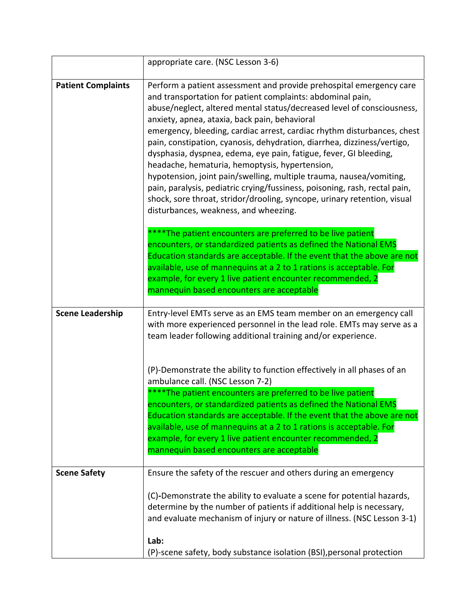|                           | appropriate care. (NSC Lesson 3-6)                                                                                                                                                                                                                                                                                                                                                                                                                                                                                                                                                                                                                                                                                                                                                                                  |
|---------------------------|---------------------------------------------------------------------------------------------------------------------------------------------------------------------------------------------------------------------------------------------------------------------------------------------------------------------------------------------------------------------------------------------------------------------------------------------------------------------------------------------------------------------------------------------------------------------------------------------------------------------------------------------------------------------------------------------------------------------------------------------------------------------------------------------------------------------|
| <b>Patient Complaints</b> | Perform a patient assessment and provide prehospital emergency care<br>and transportation for patient complaints: abdominal pain,<br>abuse/neglect, altered mental status/decreased level of consciousness,<br>anxiety, apnea, ataxia, back pain, behavioral<br>emergency, bleeding, cardiac arrest, cardiac rhythm disturbances, chest<br>pain, constipation, cyanosis, dehydration, diarrhea, dizziness/vertigo,<br>dysphasia, dyspnea, edema, eye pain, fatigue, fever, GI bleeding,<br>headache, hematuria, hemoptysis, hypertension,<br>hypotension, joint pain/swelling, multiple trauma, nausea/vomiting,<br>pain, paralysis, pediatric crying/fussiness, poisoning, rash, rectal pain,<br>shock, sore throat, stridor/drooling, syncope, urinary retention, visual<br>disturbances, weakness, and wheezing. |
|                           | ***The patient encounters are preferred to be live patient<br>encounters, or standardized patients as defined the National EMS<br>Education standards are acceptable. If the event that the above are not<br>available, use of mannequins at a 2 to 1 rations is acceptable. For<br>example, for every 1 live patient encounter recommended, 2<br>mannequin based encounters are acceptable                                                                                                                                                                                                                                                                                                                                                                                                                         |
| <b>Scene Leadership</b>   | Entry-level EMTs serve as an EMS team member on an emergency call<br>with more experienced personnel in the lead role. EMTs may serve as a<br>team leader following additional training and/or experience.                                                                                                                                                                                                                                                                                                                                                                                                                                                                                                                                                                                                          |
|                           | (P)-Demonstrate the ability to function effectively in all phases of an<br>ambulance call. (NSC Lesson 7-2)<br>****The patient encounters are preferred to be live patient<br>encounters, or standardized patients as defined the National EMS<br>Education standards are acceptable. If the event that the above are not<br>available, use of mannequins at a 2 to 1 rations is acceptable. For<br>example, for every 1 live patient encounter recommended, 2<br>mannequin based encounters are acceptable                                                                                                                                                                                                                                                                                                         |
| <b>Scene Safety</b>       | Ensure the safety of the rescuer and others during an emergency                                                                                                                                                                                                                                                                                                                                                                                                                                                                                                                                                                                                                                                                                                                                                     |
|                           | (C)-Demonstrate the ability to evaluate a scene for potential hazards,<br>determine by the number of patients if additional help is necessary,<br>and evaluate mechanism of injury or nature of illness. (NSC Lesson 3-1)                                                                                                                                                                                                                                                                                                                                                                                                                                                                                                                                                                                           |
|                           | Lab:<br>(P)-scene safety, body substance isolation (BSI), personal protection                                                                                                                                                                                                                                                                                                                                                                                                                                                                                                                                                                                                                                                                                                                                       |